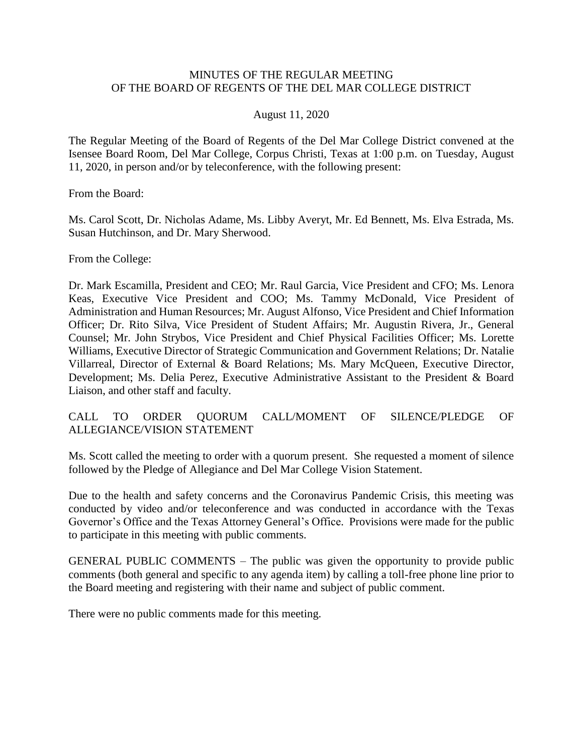#### MINUTES OF THE REGULAR MEETING OF THE BOARD OF REGENTS OF THE DEL MAR COLLEGE DISTRICT

#### August 11, 2020

 The Regular Meeting of the Board of Regents of the Del Mar College District convened at the Isensee Board Room, Del Mar College, Corpus Christi, Texas at 1:00 p.m. on Tuesday, August 11, 2020, in person and/or by teleconference, with the following present:

From the Board:

Ms. Carol Scott, Dr. Nicholas Adame, Ms. Libby Averyt, Mr. Ed Bennett, Ms. Elva Estrada, Ms. Susan Hutchinson, and Dr. Mary Sherwood.

From the College:

 Dr. Mark Escamilla, President and CEO; Mr. Raul Garcia, Vice President and CFO; Ms. Lenora Keas, Executive Vice President and COO; Ms. Tammy McDonald, Vice President of Counsel; Mr. John Strybos, Vice President and Chief Physical Facilities Officer; Ms. Lorette Development; Ms. Delia Perez, Executive Administrative Assistant to the President & Board Administration and Human Resources; Mr. August Alfonso, Vice President and Chief Information Officer; Dr. Rito Silva, Vice President of Student Affairs; Mr. Augustin Rivera, Jr., General Williams, Executive Director of Strategic Communication and Government Relations; Dr. Natalie Villarreal, Director of External & Board Relations; Ms. Mary McQueen, Executive Director, Liaison, and other staff and faculty.

#### SILENCE/PLEDGE CALL TO ORDER QUORUM CALL/MOMENT OF SILENCE/PLEDGE OF ALLEGIANCE/VISION STATEMENT

 Ms. Scott called the meeting to order with a quorum present. She requested a moment of silence followed by the Pledge of Allegiance and Del Mar College Vision Statement.

 Due to the health and safety concerns and the Coronavirus Pandemic Crisis, this meeting was Governor's Office and the Texas Attorney General's Office. Provisions were made for the public conducted by video and/or teleconference and was conducted in accordance with the Texas to participate in this meeting with public comments.

 GENERAL PUBLIC COMMENTS – The public was given the opportunity to provide public comments (both general and specific to any agenda item) by calling a toll-free phone line prior to the Board meeting and registering with their name and subject of public comment.

There were no public comments made for this meeting.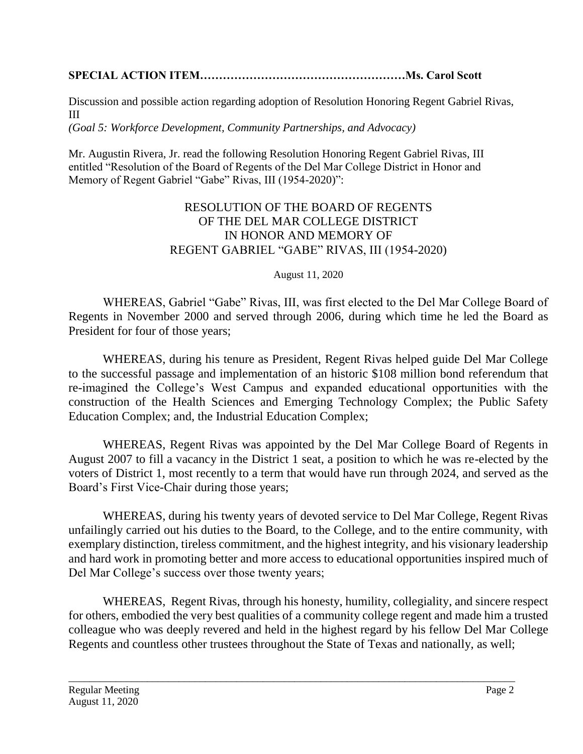# **SPECIAL ACTION ITEM………………………………………………Ms. Carol Scott**

III Discussion and possible action regarding adoption of Resolution Honoring Regent Gabriel Rivas,

*(Goal 5: Workforce Development, Community Partnerships, and Advocacy)* 

Mr. Augustin Rivera, Jr. read the following Resolution Honoring Regent Gabriel Rivas, III entitled "Resolution of the Board of Regents of the Del Mar College District in Honor and Memory of Regent Gabriel "Gabe" Rivas, III (1954-2020)":

# RESOLUTION OF THE BOARD OF REGENTS OF THE DEL MAR COLLEGE DISTRICT IN HONOR AND MEMORY OF REGENT GABRIEL "GABE" RIVAS, III (1954-2020)

### August 11, 2020

WHEREAS, Gabriel "Gabe" Rivas, III, was first elected to the Del Mar College Board of Regents in November 2000 and served through 2006, during which time he led the Board as President for four of those years;

 to the successful passage and implementation of an historic \$108 million bond referendum that re-imagined the College's West Campus and expanded educational opportunities with the WHEREAS, during his tenure as President, Regent Rivas helped guide Del Mar College construction of the Health Sciences and Emerging Technology Complex; the Public Safety Education Complex; and, the Industrial Education Complex;

 WHEREAS, Regent Rivas was appointed by the Del Mar College Board of Regents in August 2007 to fill a vacancy in the District 1 seat, a position to which he was re-elected by the voters of District 1, most recently to a term that would have run through 2024, and served as the Board's First Vice-Chair during those years;

 WHEREAS, during his twenty years of devoted service to Del Mar College, Regent Rivas exemplary distinction, tireless commitment, and the highest integrity, and his visionary leadership and hard work in promoting better and more access to educational opportunities inspired much of unfailingly carried out his duties to the Board, to the College, and to the entire community, with Del Mar College's success over those twenty years;

 for others, embodied the very best qualities of a community college regent and made him a trusted colleague who was deeply revered and held in the highest regard by his fellow Del Mar College WHEREAS, Regent Rivas, through his honesty, humility, collegiality, and sincere respect Regents and countless other trustees throughout the State of Texas and nationally, as well;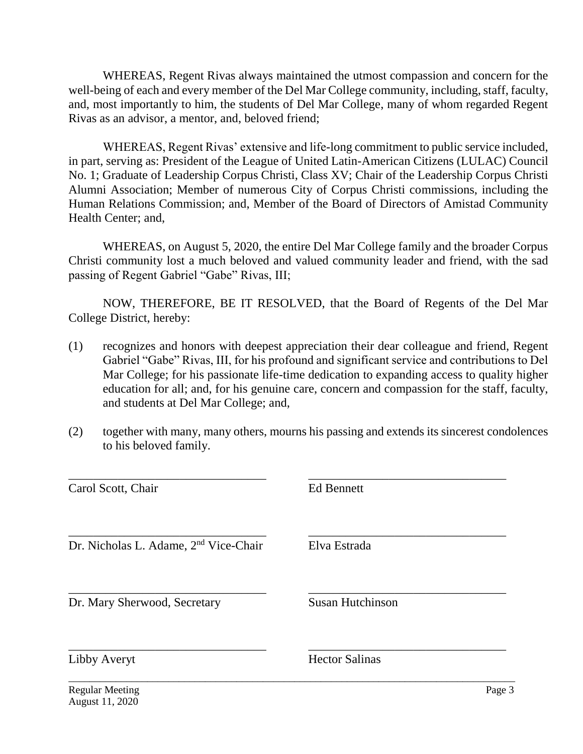well-being of each and every member of the Del Mar College community, including, staff, faculty, and, most importantly to him, the students of Del Mar College, many of whom regarded Regent WHEREAS, Regent Rivas always maintained the utmost compassion and concern for the Rivas as an advisor, a mentor, and, beloved friend;

 in part, serving as: President of the League of United Latin-American Citizens (LULAC) Council Alumni Association; Member of numerous City of Corpus Christi commissions, including the Human Relations Commission; and, Member of the Board of Directors of Amistad Community WHEREAS, Regent Rivas' extensive and life-long commitment to public service included, No. 1; Graduate of Leadership Corpus Christi, Class XV; Chair of the Leadership Corpus Christi Health Center; and,

 Christi community lost a much beloved and valued community leader and friend, with the sad WHEREAS, on August 5, 2020, the entire Del Mar College family and the broader Corpus passing of Regent Gabriel "Gabe" Rivas, III;

 NOW, THEREFORE, BE IT RESOLVED, that the Board of Regents of the Del Mar College District, hereby:

- Mar College; for his passionate life-time dedication to expanding access to quality higher education for all; and, for his genuine care, concern and compassion for the staff, faculty, (1) recognizes and honors with deepest appreciation their dear colleague and friend, Regent Gabriel "Gabe" Rivas, III, for his profound and significant service and contributions to Del and students at Del Mar College; and,
- (2) together with many, many others, mourns his passing and extends its sincerest condolences to his beloved family.

| Carol Scott, Chair                                | <b>Ed Bennett</b>       |        |
|---------------------------------------------------|-------------------------|--------|
| Dr. Nicholas L. Adame, 2 <sup>nd</sup> Vice-Chair | Elva Estrada            |        |
| Dr. Mary Sherwood, Secretary                      | <b>Susan Hutchinson</b> |        |
| Libby Averyt                                      | <b>Hector Salinas</b>   |        |
| <b>Regular Meeting</b><br>August 11, 2020         |                         | Page 3 |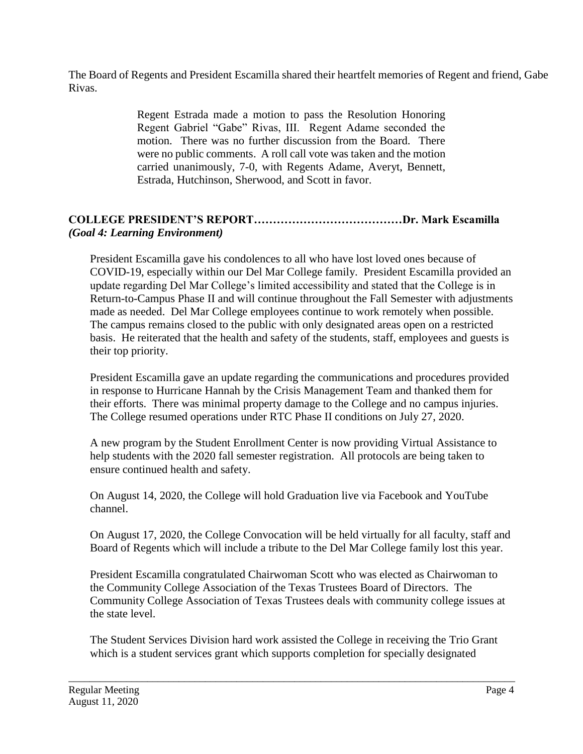The Board of Regents and President Escamilla shared their heartfelt memories of Regent and friend, Gabe Rivas.

> Regent Estrada made a motion to pass the Resolution Honoring Regent Gabriel "Gabe" Rivas, III. Regent Adame seconded the motion. There was no further discussion from the Board. There were no public comments. A roll call vote was taken and the motion carried unanimously, 7-0, with Regents Adame, Averyt, Bennett, Estrada, Hutchinson, Sherwood, and Scott in favor.

# **COLLEGE PRESIDENT'S REPORT…………………………………Dr. Mark Escamilla** *(Goal 4: Learning Environment)*

President Escamilla gave his condolences to all who have lost loved ones because of COVID-19, especially within our Del Mar College family. President Escamilla provided an update regarding Del Mar College's limited accessibility and stated that the College is in Return-to-Campus Phase II and will continue throughout the Fall Semester with adjustments made as needed. Del Mar College employees continue to work remotely when possible. The campus remains closed to the public with only designated areas open on a restricted basis. He reiterated that the health and safety of the students, staff, employees and guests is their top priority.

President Escamilla gave an update regarding the communications and procedures provided in response to Hurricane Hannah by the Crisis Management Team and thanked them for their efforts. There was minimal property damage to the College and no campus injuries. The College resumed operations under RTC Phase II conditions on July 27, 2020.

 help students with the 2020 fall semester registration. All protocols are being taken to A new program by the Student Enrollment Center is now providing Virtual Assistance to ensure continued health and safety.

On August 14, 2020, the College will hold Graduation live via Facebook and YouTube channel.

 On August 17, 2020, the College Convocation will be held virtually for all faculty, staff and Board of Regents which will include a tribute to the Del Mar College family lost this year.

President Escamilla congratulated Chairwoman Scott who was elected as Chairwoman to the Community College Association of the Texas Trustees Board of Directors. The Community College Association of Texas Trustees deals with community college issues at the state level.

The Student Services Division hard work assisted the College in receiving the Trio Grant which is a student services grant which supports completion for specially designated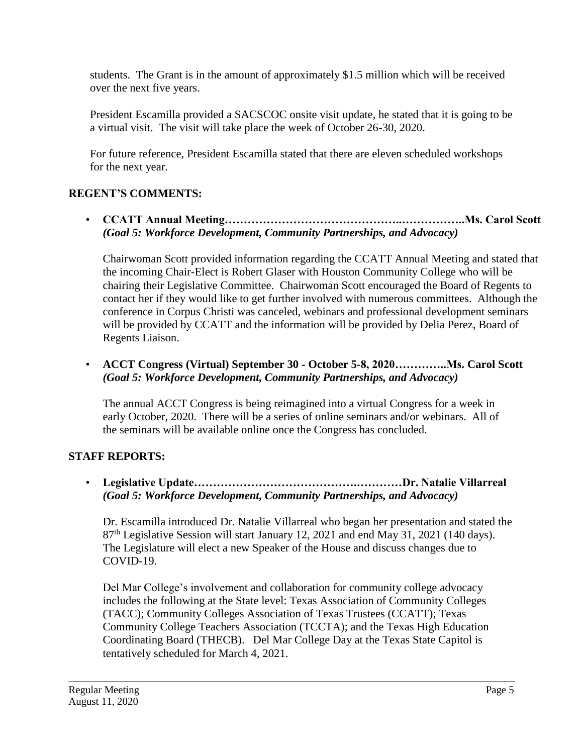students. The Grant is in the amount of approximately \$1.5 million which will be received over the next five years.

President Escamilla provided a SACSCOC onsite visit update, he stated that it is going to be a virtual visit. The visit will take place the week of October 26-30, 2020.

For future reference, President Escamilla stated that there are eleven scheduled workshops for the next year.

# **REGENT'S COMMENTS:**

• **CCATT Annual [Meeting………………………………………..……………..Ms.](https://Meeting���������������..�����..Ms) Carol Scott** *(Goal 5: Workforce Development, Community Partnerships, and Advocacy)* 

Chairwoman Scott provided information regarding the CCATT Annual Meeting and stated that the incoming Chair-Elect is Robert Glaser with Houston Community College who will be chairing their Legislative Committee. Chairwoman Scott encouraged the Board of Regents to contact her if they would like to get further involved with numerous committees. Although the conference in Corpus Christi was canceled, webinars and professional development seminars will be provided by CCATT and the information will be provided by Delia Perez, Board of Regents Liaison.

• **ACCT Congress (Virtual) September 30 - October 5-8, [2020…………..Ms.](https://2020����..Ms) Carol Scott**  *(Goal 5: Workforce Development, Community Partnerships, and Advocacy)* 

The annual ACCT Congress is being reimagined into a virtual Congress for a week in early October, 2020. There will be a series of online seminars and/or webinars. All of the seminars will be available online once the Congress has concluded.

## **STAFF REPORTS:**

• **Legislative Update…………………………………….…………Dr. Natalie Villarreal** *(Goal 5: Workforce Development, Community Partnerships, and Advocacy)* 

 The Legislature will elect a new Speaker of the House and discuss changes due to Dr. Escamilla introduced Dr. Natalie Villarreal who began her presentation and stated the 87<sup>th</sup> Legislative Session will start January 12, 2021 and end May 31, 2021 (140 days). COVID-19.

Del Mar College's involvement and collaboration for community college advocacy includes the following at the State level: Texas Association of Community Colleges (TACC); Community Colleges Association of Texas Trustees (CCATT); Texas Community College Teachers Association (TCCTA); and the Texas High Education Coordinating Board (THECB). Del Mar College Day at the Texas State Capitol is tentatively scheduled for March 4, 2021.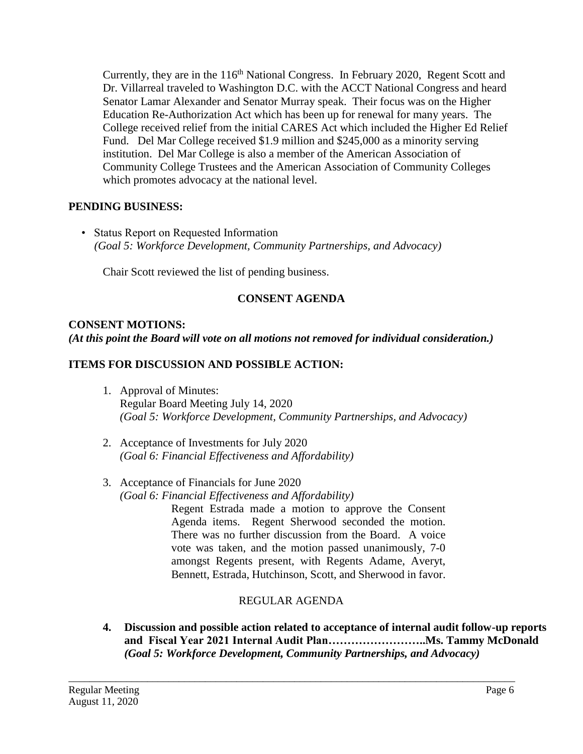Education Re-Authorization Act which has been up for renewal for many years. The Currently, they are in the  $116<sup>th</sup>$  National Congress. In February 2020, Regent Scott and Dr. Villarreal traveled to Washington D.C. with the ACCT National Congress and heard Senator Lamar Alexander and Senator Murray speak. Their focus was on the Higher College received relief from the initial CARES Act which included the Higher Ed Relief Fund. Del Mar College received \$1.9 million and \$245,000 as a minority serving institution. Del Mar College is also a member of the American Association of Community College Trustees and the American Association of Community Colleges which promotes advocacy at the national level.

### **PENDING BUSINESS:**

• Status Report on Requested Information *(Goal 5: Workforce Development, Community Partnerships, and Advocacy)* 

Chair Scott reviewed the list of pending business.

# **CONSENT AGENDA**

### **CONSENT MOTIONS:**

*(At this point the Board will vote on all motions not removed for individual consideration.)* 

### **ITEMS FOR DISCUSSION AND POSSIBLE ACTION:**

- 1. Approval of Minutes: Regular Board Meeting July 14, 2020 *(Goal 5: Workforce Development, Community Partnerships, and Advocacy)*
- 2. Acceptance of Investments for July 2020 *(Goal 6: Financial Effectiveness and Affordability)*
- 3. Acceptance of Financials for June 2020 *(Goal 6: Financial Effectiveness and Affordability)*

 Regent Estrada made a motion to approve the Consent Agenda items. Regent Sherwood seconded the motion. There was no further discussion from the Board. A voice vote was taken, and the motion passed unanimously, 7-0 amongst Regents present, with Regents Adame, Averyt, Bennett, Estrada, Hutchinson, Scott, and Sherwood in favor.

## REGULAR AGENDA

\_\_\_\_\_\_\_\_\_\_\_\_\_\_\_\_\_\_\_\_\_\_\_\_\_\_\_\_\_\_\_\_\_\_\_\_\_\_\_\_\_\_\_\_\_\_\_\_\_\_\_\_\_\_\_\_\_\_\_\_\_\_\_\_\_\_\_\_\_\_\_\_\_\_\_\_\_\_\_\_\_\_\_\_\_

 **and Fiscal Year 2021 Internal Audit [Plan……………………..Ms.](https://Plan��������..Ms) Tammy McDonald 4. Discussion and possible action related to acceptance of internal audit follow-up reports**  *(Goal 5: Workforce Development, Community Partnerships, and Advocacy)*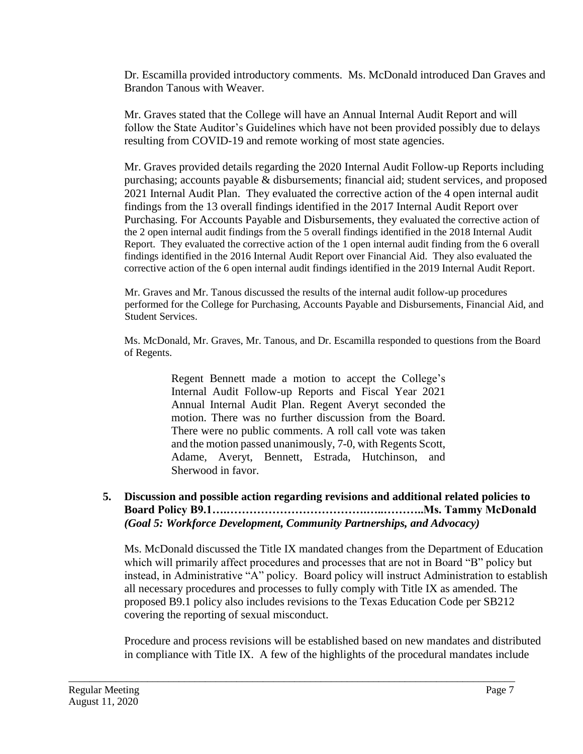Dr. Escamilla provided introductory comments. Ms. McDonald introduced Dan Graves and Brandon Tanous with Weaver.

Mr. Graves stated that the College will have an Annual Internal Audit Report and will follow the State Auditor's Guidelines which have not been provided possibly due to delays resulting from COVID-19 and remote working of most state agencies.

 2021 Internal Audit Plan. They evaluated the corrective action of the 4 open internal audit the 2 open internal audit findings from the 5 overall findings identified in the 2018 Internal Audit Report. They evaluated the corrective action of the 1 open internal audit finding from the 6 overall findings identified in the 2016 Internal Audit Report over Financial Aid. They also evaluated the Mr. Graves provided details regarding the 2020 Internal Audit Follow-up Reports including purchasing; accounts payable & disbursements; financial aid; student services, and proposed findings from the 13 overall findings identified in the 2017 Internal Audit Report over Purchasing. For Accounts Payable and Disbursements, they evaluated the corrective action of corrective action of the 6 open internal audit findings identified in the 2019 Internal Audit Report.

Mr. Graves and Mr. Tanous discussed the results of the internal audit follow-up procedures performed for the College for Purchasing, Accounts Payable and Disbursements, Financial Aid, and Student Services.

Ms. McDonald, Mr. Graves, Mr. Tanous, and Dr. Escamilla responded to questions from the Board of Regents.

> There were no public comments. A roll call vote was taken Regent Bennett made a motion to accept the College's Internal Audit Follow-up Reports and Fiscal Year 2021 Annual Internal Audit Plan. Regent Averyt seconded the motion. There was no further discussion from the Board. and the motion passed unanimously, 7-0, with Regents Scott, Adame, Averyt, Bennett, Estrada, Hutchinson, and Sherwood in favor.

#### **5. Discussion and possible action regarding revisions and additional related policies to Board Policy [B9.1….……………………………….…..………..Ms.](https://B9.1�.������������.�..���..Ms) Tammy McDonald** *(Goal 5: Workforce Development, Community Partnerships, and Advocacy)*

Ms. McDonald discussed the Title IX mandated changes from the Department of Education which will primarily affect procedures and processes that are not in Board "B" policy but instead, in Administrative "A" policy. Board policy will instruct Administration to establish all necessary procedures and processes to fully comply with Title IX as amended. The proposed B9.1 policy also includes revisions to the Texas Education Code per SB212 covering the reporting of sexual misconduct.

Procedure and process revisions will be established based on new mandates and distributed in compliance with Title IX. A few of the highlights of the procedural mandates include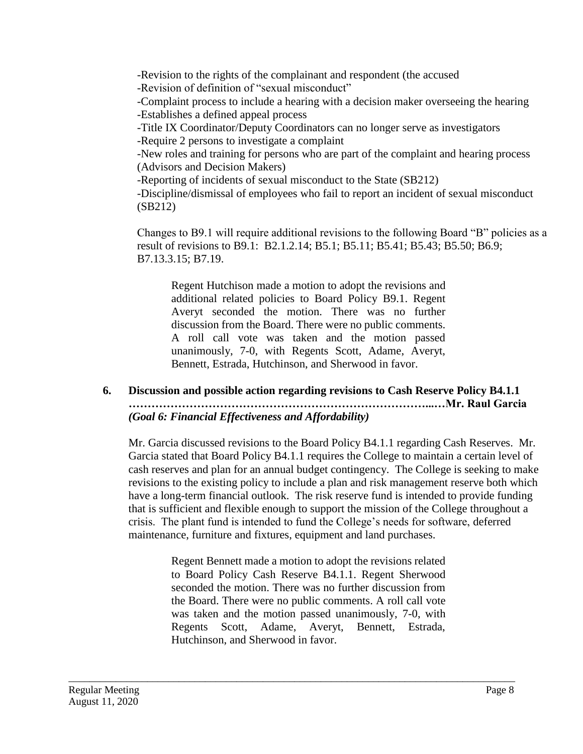-Revision to the rights of the complainant and respondent (the accused

-Revision of definition of "sexual misconduct"

-Complaint process to include a hearing with a decision maker overseeing the hearing -Establishes a defined appeal process

-Title IX Coordinator/Deputy Coordinators can no longer serve as investigators -Require 2 persons to investigate a complaint

-New roles and training for persons who are part of the complaint and hearing process (Advisors and Decision Makers)

-Reporting of incidents of sexual misconduct to the State (SB212)

-Discipline/dismissal of employees who fail to report an incident of sexual misconduct (SB212)

Changes to B9.1 will require additional revisions to the following Board "B" policies as a result of revisions to B9.1: [B2.1.2.14;](https://B2.1.2.14) B5.1; B5.11; B5.41; B5.43; B5.50; B6.9; [B7.13.3.15;](https://B7.13.3.15) B7.19.

 discussion from the Board. There were no public comments. Regent Hutchison made a motion to adopt the revisions and additional related policies to Board Policy B9.1. Regent Averyt seconded the motion. There was no further A roll call vote was taken and the motion passed unanimously, 7-0, with Regents Scott, Adame, Averyt, Bennett, Estrada, Hutchinson, and Sherwood in favor.

**6. Discussion and possible action regarding revisions to Cash Reserve Policy B4.1.1 ……………………………………………………………………...…Mr. Raul Garcia** *(Goal 6: Financial Effectiveness and Affordability)* 

Mr. Garcia discussed revisions to the Board Policy B4.1.1 regarding Cash Reserves. Mr. Garcia stated that Board Policy B4.1.1 requires the College to maintain a certain level of cash reserves and plan for an annual budget contingency. The College is seeking to make revisions to the existing policy to include a plan and risk management reserve both which have a long-term financial outlook. The risk reserve fund is intended to provide funding that is sufficient and flexible enough to support the mission of the College throughout a crisis. The plant fund is intended to fund the College's needs for software, deferred maintenance, furniture and fixtures, equipment and land purchases.

> the Board. There were no public comments. A roll call vote Regents Scott, Adame, Averyt, Bennett, Estrada, Regent Bennett made a motion to adopt the revisions related to Board Policy Cash Reserve B4.1.1. Regent Sherwood seconded the motion. There was no further discussion from was taken and the motion passed unanimously, 7-0, with Hutchinson, and Sherwood in favor.